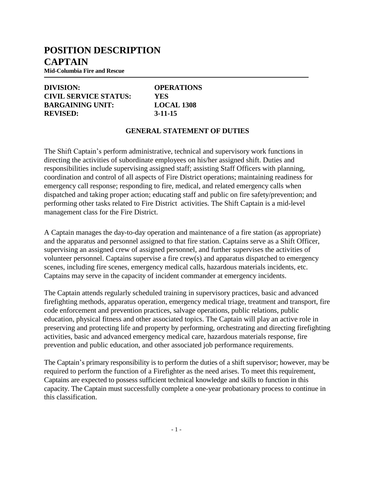## **POSITION DESCRIPTION CAPTAIN**

**Mid-Columbia Fire and Rescue**

#### **DIVISION: OPERATIONS CIVIL SERVICE STATUS: YES BARGAINING UNIT: LOCAL 1308 REVISED: 3-11-15**

#### **GENERAL STATEMENT OF DUTIES**

The Shift Captain's perform administrative, technical and supervisory work functions in directing the activities of subordinate employees on his/her assigned shift. Duties and responsibilities include supervising assigned staff; assisting Staff Officers with planning, coordination and control of all aspects of Fire District operations; maintaining readiness for emergency call response; responding to fire, medical, and related emergency calls when dispatched and taking proper action; educating staff and public on fire safety/prevention; and performing other tasks related to Fire District activities. The Shift Captain is a mid-level management class for the Fire District.

A Captain manages the day-to-day operation and maintenance of a fire station (as appropriate) and the apparatus and personnel assigned to that fire station. Captains serve as a Shift Officer, supervising an assigned crew of assigned personnel, and further supervises the activities of volunteer personnel. Captains supervise a fire crew(s) and apparatus dispatched to emergency scenes, including fire scenes, emergency medical calls, hazardous materials incidents, etc. Captains may serve in the capacity of incident commander at emergency incidents.

The Captain attends regularly scheduled training in supervisory practices, basic and advanced firefighting methods, apparatus operation, emergency medical triage, treatment and transport, fire code enforcement and prevention practices, salvage operations, public relations, public education, physical fitness and other associated topics. The Captain will play an active role in preserving and protecting life and property by performing, orchestrating and directing firefighting activities, basic and advanced emergency medical care, hazardous materials response, fire prevention and public education, and other associated job performance requirements.

The Captain's primary responsibility is to perform the duties of a shift supervisor; however, may be required to perform the function of a Firefighter as the need arises. To meet this requirement, Captains are expected to possess sufficient technical knowledge and skills to function in this capacity. The Captain must successfully complete a one-year probationary process to continue in this classification.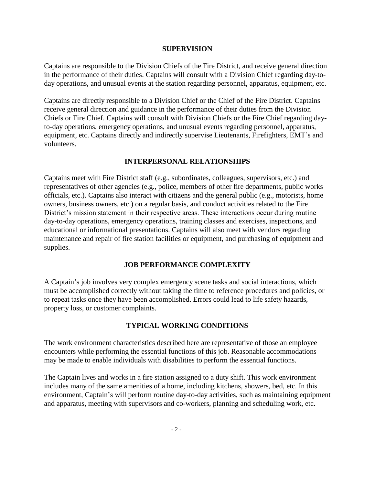#### **SUPERVISION**

Captains are responsible to the Division Chiefs of the Fire District, and receive general direction in the performance of their duties. Captains will consult with a Division Chief regarding day-today operations, and unusual events at the station regarding personnel, apparatus, equipment, etc.

Captains are directly responsible to a Division Chief or the Chief of the Fire District. Captains receive general direction and guidance in the performance of their duties from the Division Chiefs or Fire Chief. Captains will consult with Division Chiefs or the Fire Chief regarding dayto-day operations, emergency operations, and unusual events regarding personnel, apparatus, equipment, etc. Captains directly and indirectly supervise Lieutenants, Firefighters, EMT's and volunteers.

### **INTERPERSONAL RELATIONSHIPS**

Captains meet with Fire District staff (e.g., subordinates, colleagues, supervisors, etc.) and representatives of other agencies (e.g., police, members of other fire departments, public works officials, etc.). Captains also interact with citizens and the general public (e.g., motorists, home owners, business owners, etc.) on a regular basis, and conduct activities related to the Fire District's mission statement in their respective areas. These interactions occur during routine day-to-day operations, emergency operations, training classes and exercises, inspections, and educational or informational presentations. Captains will also meet with vendors regarding maintenance and repair of fire station facilities or equipment, and purchasing of equipment and supplies.

### **JOB PERFORMANCE COMPLEXITY**

A Captain's job involves very complex emergency scene tasks and social interactions, which must be accomplished correctly without taking the time to reference procedures and policies, or to repeat tasks once they have been accomplished. Errors could lead to life safety hazards, property loss, or customer complaints.

### **TYPICAL WORKING CONDITIONS**

The work environment characteristics described here are representative of those an employee encounters while performing the essential functions of this job. Reasonable accommodations may be made to enable individuals with disabilities to perform the essential functions.

The Captain lives and works in a fire station assigned to a duty shift. This work environment includes many of the same amenities of a home, including kitchens, showers, bed, etc. In this environment, Captain's will perform routine day-to-day activities, such as maintaining equipment and apparatus, meeting with supervisors and co-workers, planning and scheduling work, etc.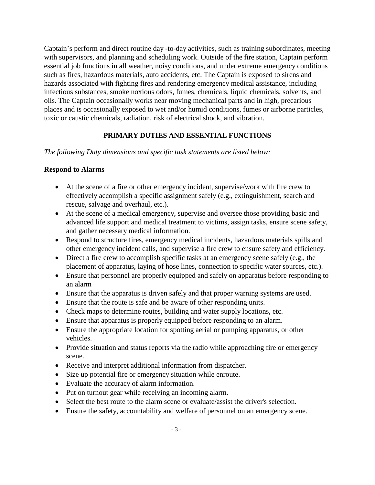Captain's perform and direct routine day -to-day activities, such as training subordinates, meeting with supervisors, and planning and scheduling work. Outside of the fire station, Captain perform essential job functions in all weather, noisy conditions, and under extreme emergency conditions such as fires, hazardous materials, auto accidents, etc. The Captain is exposed to sirens and hazards associated with fighting fires and rendering emergency medical assistance, including infectious substances, smoke noxious odors, fumes, chemicals, liquid chemicals, solvents, and oils. The Captain occasionally works near moving mechanical parts and in high, precarious places and is occasionally exposed to wet and/or humid conditions, fumes or airborne particles, toxic or caustic chemicals, radiation, risk of electrical shock, and vibration.

### **PRIMARY DUTIES AND ESSENTIAL FUNCTIONS**

*The following Duty dimensions and specific task statements are listed below:*

#### **Respond to Alarms**

- At the scene of a fire or other emergency incident, supervise/work with fire crew to effectively accomplish a specific assignment safely (e.g., extinguishment, search and rescue, salvage and overhaul, etc.).
- At the scene of a medical emergency, supervise and oversee those providing basic and advanced life support and medical treatment to victims, assign tasks, ensure scene safety, and gather necessary medical information.
- Respond to structure fires, emergency medical incidents, hazardous materials spills and other emergency incident calls, and supervise a fire crew to ensure safety and efficiency.
- Direct a fire crew to accomplish specific tasks at an emergency scene safely (e.g., the placement of apparatus, laying of hose lines, connection to specific water sources, etc.).
- Ensure that personnel are properly equipped and safely on apparatus before responding to an alarm
- Ensure that the apparatus is driven safely and that proper warning systems are used.
- Ensure that the route is safe and be aware of other responding units.
- Check maps to determine routes, building and water supply locations, etc.
- Ensure that apparatus is properly equipped before responding to an alarm.
- Ensure the appropriate location for spotting aerial or pumping apparatus, or other vehicles.
- Provide situation and status reports via the radio while approaching fire or emergency scene.
- Receive and interpret additional information from dispatcher.
- Size up potential fire or emergency situation while enroute.
- Evaluate the accuracy of alarm information.
- Put on turnout gear while receiving an incoming alarm.
- Select the best route to the alarm scene or evaluate/assist the driver's selection.
- Ensure the safety, accountability and welfare of personnel on an emergency scene.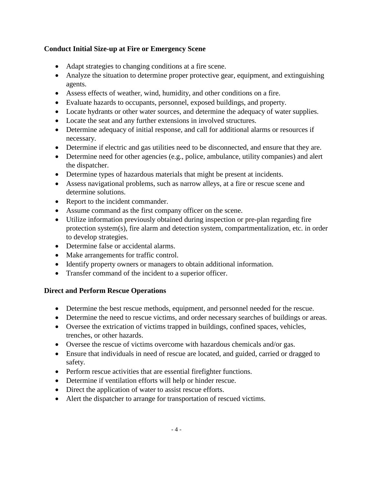## **Conduct Initial Size-up at Fire or Emergency Scene**

- Adapt strategies to changing conditions at a fire scene.
- Analyze the situation to determine proper protective gear, equipment, and extinguishing agents.
- Assess effects of weather, wind, humidity, and other conditions on a fire.
- Evaluate hazards to occupants, personnel, exposed buildings, and property.
- Locate hydrants or other water sources, and determine the adequacy of water supplies.
- Locate the seat and any further extensions in involved structures.
- Determine adequacy of initial response, and call for additional alarms or resources if necessary.
- Determine if electric and gas utilities need to be disconnected, and ensure that they are.
- Determine need for other agencies (e.g., police, ambulance, utility companies) and alert the dispatcher.
- Determine types of hazardous materials that might be present at incidents.
- Assess navigational problems, such as narrow alleys, at a fire or rescue scene and determine solutions.
- Report to the incident commander.
- Assume command as the first company officer on the scene.
- Utilize information previously obtained during inspection or pre-plan regarding fire protection system(s), fire alarm and detection system, compartmentalization, etc. in order to develop strategies.
- Determine false or accidental alarms.
- Make arrangements for traffic control.
- Identify property owners or managers to obtain additional information.
- Transfer command of the incident to a superior officer.

### **Direct and Perform Rescue Operations**

- Determine the best rescue methods, equipment, and personnel needed for the rescue.
- Determine the need to rescue victims, and order necessary searches of buildings or areas.
- Oversee the extrication of victims trapped in buildings, confined spaces, vehicles, trenches, or other hazards.
- Oversee the rescue of victims overcome with hazardous chemicals and/or gas.
- Ensure that individuals in need of rescue are located, and guided, carried or dragged to safety.
- Perform rescue activities that are essential firefighter functions.
- Determine if ventilation efforts will help or hinder rescue.
- Direct the application of water to assist rescue efforts.
- Alert the dispatcher to arrange for transportation of rescued victims.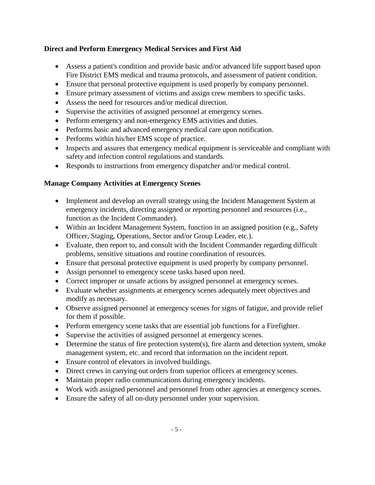## **Direct and Perform Emergency Medical Services and First Aid**

- Assess a patient's condition and provide basic and/or advanced life support based upon Fire District EMS medical and trauma protocols, and assessment of patient condition.
- Ensure that personal protective equipment is used properly by company personnel.
- Ensure primary assessment of victims and assign crew members to specific tasks.
- Assess the need for resources and/or medical direction.
- Supervise the activities of assigned personnel at emergency scenes.
- Perform emergency and non-emergency EMS activities and duties.
- Performs basic and advanced emergency medical care upon notification.
- Performs within his/her EMS scope of practice.
- Inspects and assures that emergency medical equipment is serviceable and compliant with safety and infection control regulations and standards.
- Responds to instructions from emergency dispatcher and/or medical control.

### **Manage Company Activities at Emergency Scenes**

- Implement and develop an overall strategy using the Incident Management System at emergency incidents, directing assigned or reporting personnel and resources (i.e., function as the Incident Commander).
- Within an Incident Management System, function in an assigned position (e.g., Safety Officer, Staging, Operations, Sector and/or Group Leader, etc.).
- Evaluate, then report to, and consult with the Incident Commander regarding difficult problems, sensitive situations and routine coordination of resources.
- Ensure that personal protective equipment is used properly by company personnel.
- Assign personnel to emergency scene tasks based upon need.
- Correct improper or unsafe actions by assigned personnel at emergency scenes.
- Evaluate whether assignments at emergency scenes adequately meet objectives and modify as necessary.
- Observe assigned personnel at emergency scenes for signs of fatigue, and provide relief for them if possible.
- Perform emergency scene tasks that are essential job functions for a Firefighter.
- Supervise the activities of assigned personnel at emergency scenes.
- $\bullet$  Determine the status of fire protection system(s), fire alarm and detection system, smoke management system, etc. and record that information on the incident report.
- Ensure control of elevators in involved buildings.
- Direct crews in carrying out orders from superior officers at emergency scenes.
- Maintain proper radio communications during emergency incidents.
- Work with assigned personnel and personnel from other agencies at emergency scenes.
- Ensure the safety of all on-duty personnel under your supervision.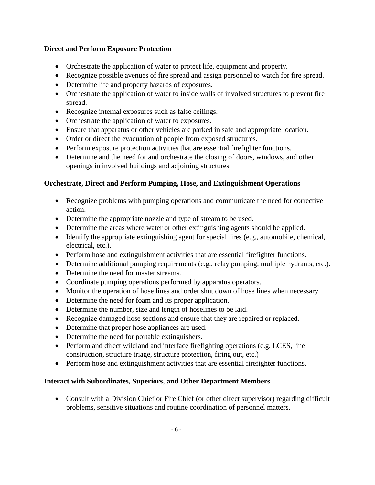## **Direct and Perform Exposure Protection**

- Orchestrate the application of water to protect life, equipment and property.
- Recognize possible avenues of fire spread and assign personnel to watch for fire spread.
- Determine life and property hazards of exposures.
- Orchestrate the application of water to inside walls of involved structures to prevent fire spread.
- Recognize internal exposures such as false ceilings.
- Orchestrate the application of water to exposures.
- Ensure that apparatus or other vehicles are parked in safe and appropriate location.
- Order or direct the evacuation of people from exposed structures.
- Perform exposure protection activities that are essential firefighter functions.
- Determine and the need for and orchestrate the closing of doors, windows, and other openings in involved buildings and adjoining structures.

## **Orchestrate, Direct and Perform Pumping, Hose, and Extinguishment Operations**

- Recognize problems with pumping operations and communicate the need for corrective action.
- Determine the appropriate nozzle and type of stream to be used.
- Determine the areas where water or other extinguishing agents should be applied.
- Identify the appropriate extinguishing agent for special fires (e.g., automobile, chemical, electrical, etc.).
- Perform hose and extinguishment activities that are essential firefighter functions.
- Determine additional pumping requirements (e.g., relay pumping, multiple hydrants, etc.).
- Determine the need for master streams.
- Coordinate pumping operations performed by apparatus operators.
- Monitor the operation of hose lines and order shut down of hose lines when necessary.
- Determine the need for foam and its proper application.
- Determine the number, size and length of hoselines to be laid.
- Recognize damaged hose sections and ensure that they are repaired or replaced.
- Determine that proper hose appliances are used.
- Determine the need for portable extinguishers.
- Perform and direct wildland and interface firefighting operations (e.g. LCES, line construction, structure triage, structure protection, firing out, etc.)
- Perform hose and extinguishment activities that are essential firefighter functions.

## **Interact with Subordinates, Superiors, and Other Department Members**

 Consult with a Division Chief or Fire Chief (or other direct supervisor) regarding difficult problems, sensitive situations and routine coordination of personnel matters.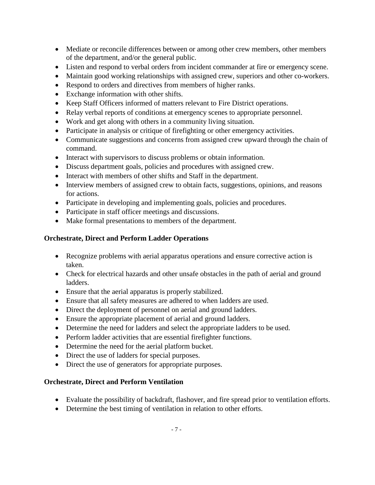- Mediate or reconcile differences between or among other crew members, other members of the department, and/or the general public.
- Listen and respond to verbal orders from incident commander at fire or emergency scene.
- Maintain good working relationships with assigned crew, superiors and other co-workers.
- Respond to orders and directives from members of higher ranks.
- Exchange information with other shifts.
- Keep Staff Officers informed of matters relevant to Fire District operations.
- Relay verbal reports of conditions at emergency scenes to appropriate personnel.
- Work and get along with others in a community living situation.
- Participate in analysis or critique of firefighting or other emergency activities.
- Communicate suggestions and concerns from assigned crew upward through the chain of command.
- Interact with supervisors to discuss problems or obtain information.
- Discuss department goals, policies and procedures with assigned crew.
- Interact with members of other shifts and Staff in the department.
- Interview members of assigned crew to obtain facts, suggestions, opinions, and reasons for actions.
- Participate in developing and implementing goals, policies and procedures.
- Participate in staff officer meetings and discussions.
- Make formal presentations to members of the department.

## **Orchestrate, Direct and Perform Ladder Operations**

- Recognize problems with aerial apparatus operations and ensure corrective action is taken.
- Check for electrical hazards and other unsafe obstacles in the path of aerial and ground ladders.
- Ensure that the aerial apparatus is properly stabilized.
- Ensure that all safety measures are adhered to when ladders are used.
- Direct the deployment of personnel on aerial and ground ladders.
- Ensure the appropriate placement of aerial and ground ladders.
- Determine the need for ladders and select the appropriate ladders to be used.
- Perform ladder activities that are essential firefighter functions.
- Determine the need for the aerial platform bucket.
- Direct the use of ladders for special purposes.
- Direct the use of generators for appropriate purposes.

### **Orchestrate, Direct and Perform Ventilation**

- Evaluate the possibility of backdraft, flashover, and fire spread prior to ventilation efforts.
- Determine the best timing of ventilation in relation to other efforts.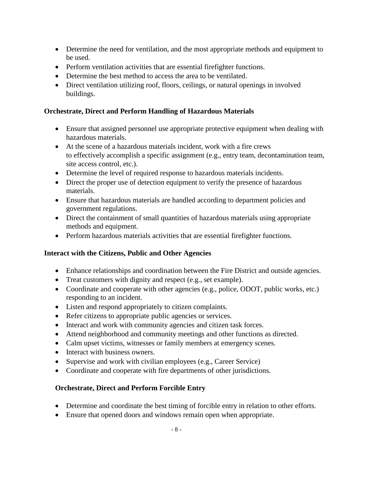- Determine the need for ventilation, and the most appropriate methods and equipment to be used.
- Perform ventilation activities that are essential firefighter functions.
- Determine the best method to access the area to be ventilated.
- Direct ventilation utilizing roof, floors, ceilings, or natural openings in involved buildings.

### **Orchestrate, Direct and Perform Handling of Hazardous Materials**

- Ensure that assigned personnel use appropriate protective equipment when dealing with hazardous materials.
- At the scene of a hazardous materials incident, work with a fire crews to effectively accomplish a specific assignment (e.g., entry team, decontamination team, site access control, etc.).
- Determine the level of required response to hazardous materials incidents.
- Direct the proper use of detection equipment to verify the presence of hazardous materials.
- Ensure that hazardous materials are handled according to department policies and government regulations.
- Direct the containment of small quantities of hazardous materials using appropriate methods and equipment.
- Perform hazardous materials activities that are essential firefighter functions.

### **Interact with the Citizens, Public and Other Agencies**

- Enhance relationships and coordination between the Fire District and outside agencies.
- Treat customers with dignity and respect (e.g., set example).
- Coordinate and cooperate with other agencies (e.g., police, ODOT, public works, etc.) responding to an incident.
- Listen and respond appropriately to citizen complaints.
- Refer citizens to appropriate public agencies or services.
- Interact and work with community agencies and citizen task forces.
- Attend neighborhood and community meetings and other functions as directed.
- Calm upset victims, witnesses or family members at emergency scenes.
- Interact with business owners.
- Supervise and work with civilian employees (e.g., Career Service)
- Coordinate and cooperate with fire departments of other jurisdictions.

### **Orchestrate, Direct and Perform Forcible Entry**

- Determine and coordinate the best timing of forcible entry in relation to other efforts.
- Ensure that opened doors and windows remain open when appropriate.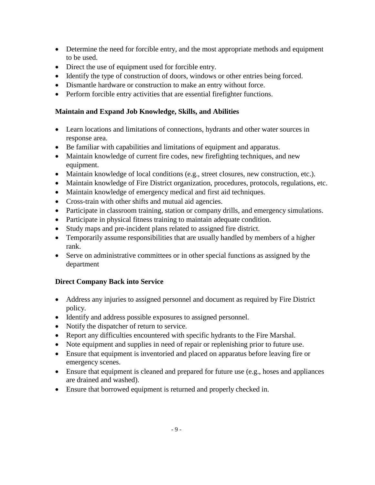- Determine the need for forcible entry, and the most appropriate methods and equipment to be used.
- Direct the use of equipment used for forcible entry.
- Identify the type of construction of doors, windows or other entries being forced.
- Dismantle hardware or construction to make an entry without force.
- Perform forcible entry activities that are essential firefighter functions.

### **Maintain and Expand Job Knowledge, Skills, and Abilities**

- Learn locations and limitations of connections, hydrants and other water sources in response area.
- Be familiar with capabilities and limitations of equipment and apparatus.
- Maintain knowledge of current fire codes, new firefighting techniques, and new equipment.
- Maintain knowledge of local conditions (e.g., street closures, new construction, etc.).
- Maintain knowledge of Fire District organization, procedures, protocols, regulations, etc.
- Maintain knowledge of emergency medical and first aid techniques.
- Cross-train with other shifts and mutual aid agencies.
- Participate in classroom training, station or company drills, and emergency simulations.
- Participate in physical fitness training to maintain adequate condition.
- Study maps and pre-incident plans related to assigned fire district.
- Temporarily assume responsibilities that are usually handled by members of a higher rank.
- Serve on administrative committees or in other special functions as assigned by the department

## **Direct Company Back into Service**

- Address any injuries to assigned personnel and document as required by Fire District policy.
- Identify and address possible exposures to assigned personnel.
- Notify the dispatcher of return to service.
- Report any difficulties encountered with specific hydrants to the Fire Marshal.
- Note equipment and supplies in need of repair or replenishing prior to future use.
- Ensure that equipment is inventoried and placed on apparatus before leaving fire or emergency scenes.
- Ensure that equipment is cleaned and prepared for future use (e.g., hoses and appliances are drained and washed).
- Ensure that borrowed equipment is returned and properly checked in.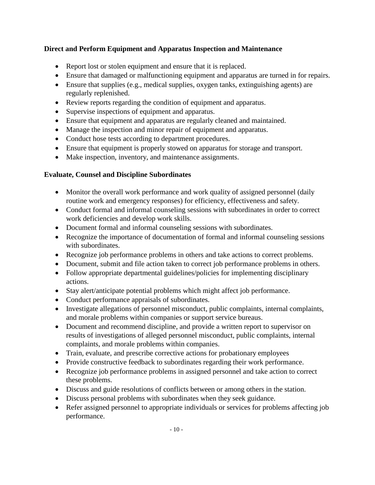## **Direct and Perform Equipment and Apparatus Inspection and Maintenance**

- Report lost or stolen equipment and ensure that it is replaced.
- Ensure that damaged or malfunctioning equipment and apparatus are turned in for repairs.
- Ensure that supplies (e.g., medical supplies, oxygen tanks, extinguishing agents) are regularly replenished.
- Review reports regarding the condition of equipment and apparatus.
- Supervise inspections of equipment and apparatus.
- Ensure that equipment and apparatus are regularly cleaned and maintained.
- Manage the inspection and minor repair of equipment and apparatus.
- Conduct hose tests according to department procedures.
- Ensure that equipment is properly stowed on apparatus for storage and transport.
- Make inspection, inventory, and maintenance assignments.

### **Evaluate, Counsel and Discipline Subordinates**

- Monitor the overall work performance and work quality of assigned personnel (daily routine work and emergency responses) for efficiency, effectiveness and safety.
- Conduct formal and informal counseling sessions with subordinates in order to correct work deficiencies and develop work skills.
- Document formal and informal counseling sessions with subordinates.
- Recognize the importance of documentation of formal and informal counseling sessions with subordinates.
- Recognize job performance problems in others and take actions to correct problems.
- Document, submit and file action taken to correct job performance problems in others.
- Follow appropriate departmental guidelines/policies for implementing disciplinary actions.
- Stay alert/anticipate potential problems which might affect job performance.
- Conduct performance appraisals of subordinates.
- Investigate allegations of personnel misconduct, public complaints, internal complaints, and morale problems within companies or support service bureaus.
- Document and recommend discipline, and provide a written report to supervisor on results of investigations of alleged personnel misconduct, public complaints, internal complaints, and morale problems within companies.
- Train, evaluate, and prescribe corrective actions for probationary employees
- Provide constructive feedback to subordinates regarding their work performance.
- Recognize job performance problems in assigned personnel and take action to correct these problems.
- Discuss and guide resolutions of conflicts between or among others in the station.
- Discuss personal problems with subordinates when they seek guidance.
- Refer assigned personnel to appropriate individuals or services for problems affecting job performance.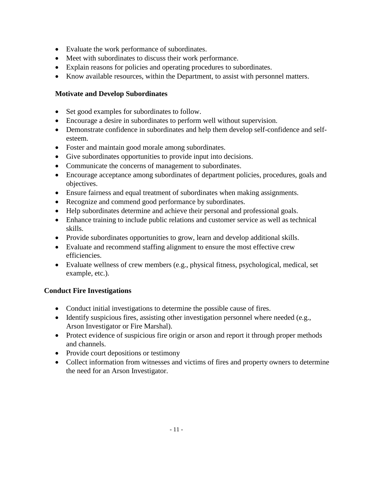- Evaluate the work performance of subordinates.
- Meet with subordinates to discuss their work performance.
- Explain reasons for policies and operating procedures to subordinates.
- Know available resources, within the Department, to assist with personnel matters.

## **Motivate and Develop Subordinates**

- Set good examples for subordinates to follow.
- Encourage a desire in subordinates to perform well without supervision.
- Demonstrate confidence in subordinates and help them develop self-confidence and selfesteem.
- Foster and maintain good morale among subordinates.
- Give subordinates opportunities to provide input into decisions.
- Communicate the concerns of management to subordinates.
- Encourage acceptance among subordinates of department policies, procedures, goals and objectives.
- Ensure fairness and equal treatment of subordinates when making assignments.
- Recognize and commend good performance by subordinates.
- Help subordinates determine and achieve their personal and professional goals.
- Enhance training to include public relations and customer service as well as technical skills.
- Provide subordinates opportunities to grow, learn and develop additional skills.
- Evaluate and recommend staffing alignment to ensure the most effective crew efficiencies.
- Evaluate wellness of crew members (e.g., physical fitness, psychological, medical, set example, etc.).

## **Conduct Fire Investigations**

- Conduct initial investigations to determine the possible cause of fires.
- Identify suspicious fires, assisting other investigation personnel where needed (e.g., Arson Investigator or Fire Marshal).
- Protect evidence of suspicious fire origin or arson and report it through proper methods and channels.
- Provide court depositions or testimony
- Collect information from witnesses and victims of fires and property owners to determine the need for an Arson Investigator.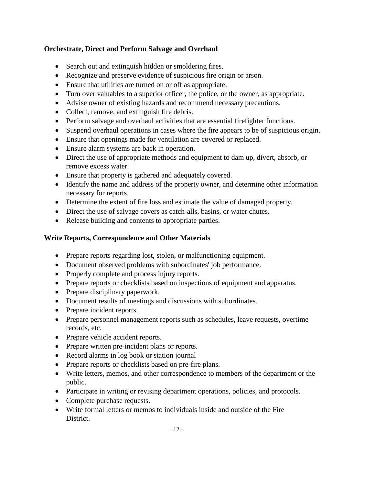## **Orchestrate, Direct and Perform Salvage and Overhaul**

- Search out and extinguish hidden or smoldering fires.
- Recognize and preserve evidence of suspicious fire origin or arson.
- Ensure that utilities are turned on or off as appropriate.
- Turn over valuables to a superior officer, the police, or the owner, as appropriate.
- Advise owner of existing hazards and recommend necessary precautions.
- Collect, remove, and extinguish fire debris.
- Perform salvage and overhaul activities that are essential firefighter functions.
- Suspend overhaul operations in cases where the fire appears to be of suspicious origin.
- Ensure that openings made for ventilation are covered or replaced.
- Ensure alarm systems are back in operation.
- Direct the use of appropriate methods and equipment to dam up, divert, absorb, or remove excess water.
- Ensure that property is gathered and adequately covered.
- Identify the name and address of the property owner, and determine other information necessary for reports.
- Determine the extent of fire loss and estimate the value of damaged property.
- Direct the use of salvage covers as catch-alls, basins, or water chutes.
- Release building and contents to appropriate parties.

## **Write Reports, Correspondence and Other Materials**

- Prepare reports regarding lost, stolen, or malfunctioning equipment.
- Document observed problems with subordinates' job performance.
- Properly complete and process injury reports.
- Prepare reports or checklists based on inspections of equipment and apparatus.
- Prepare disciplinary paperwork.
- Document results of meetings and discussions with subordinates.
- Prepare incident reports.
- Prepare personnel management reports such as schedules, leave requests, overtime records, etc.
- Prepare vehicle accident reports.
- Prepare written pre-incident plans or reports.
- Record alarms in log book or station journal
- Prepare reports or checklists based on pre-fire plans.
- Write letters, memos, and other correspondence to members of the department or the public.
- Participate in writing or revising department operations, policies, and protocols.
- Complete purchase requests.
- Write formal letters or memos to individuals inside and outside of the Fire District.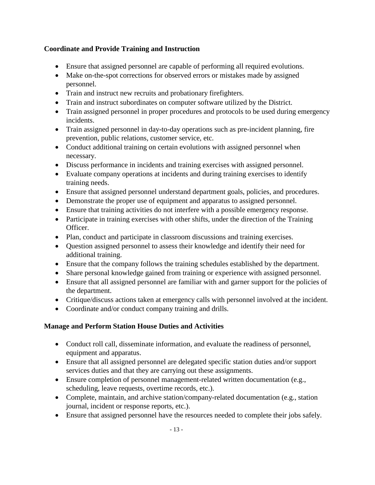## **Coordinate and Provide Training and Instruction**

- Ensure that assigned personnel are capable of performing all required evolutions.
- Make on-the-spot corrections for observed errors or mistakes made by assigned personnel.
- Train and instruct new recruits and probationary firefighters.
- Train and instruct subordinates on computer software utilized by the District.
- Train assigned personnel in proper procedures and protocols to be used during emergency incidents.
- Train assigned personnel in day-to-day operations such as pre-incident planning, fire prevention, public relations, customer service, etc.
- Conduct additional training on certain evolutions with assigned personnel when necessary.
- Discuss performance in incidents and training exercises with assigned personnel.
- Evaluate company operations at incidents and during training exercises to identify training needs.
- Ensure that assigned personnel understand department goals, policies, and procedures.
- Demonstrate the proper use of equipment and apparatus to assigned personnel.
- Ensure that training activities do not interfere with a possible emergency response.
- Participate in training exercises with other shifts, under the direction of the Training Officer.
- Plan, conduct and participate in classroom discussions and training exercises.
- Question assigned personnel to assess their knowledge and identify their need for additional training.
- Ensure that the company follows the training schedules established by the department.
- Share personal knowledge gained from training or experience with assigned personnel.
- Ensure that all assigned personnel are familiar with and garner support for the policies of the department.
- Critique/discuss actions taken at emergency calls with personnel involved at the incident.
- Coordinate and/or conduct company training and drills.

## **Manage and Perform Station House Duties and Activities**

- Conduct roll call, disseminate information, and evaluate the readiness of personnel, equipment and apparatus.
- Ensure that all assigned personnel are delegated specific station duties and/or support services duties and that they are carrying out these assignments.
- Ensure completion of personnel management-related written documentation (e.g., scheduling, leave requests, overtime records, etc.).
- Complete, maintain, and archive station/company-related documentation (e.g., station journal, incident or response reports, etc.).
- Ensure that assigned personnel have the resources needed to complete their jobs safely.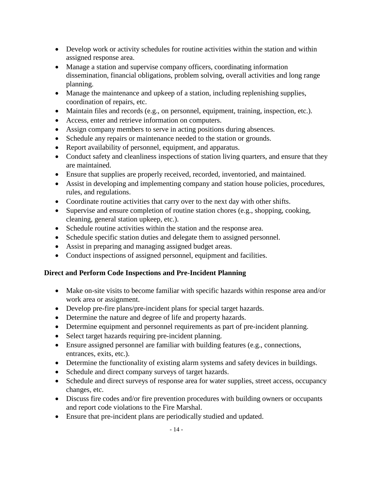- Develop work or activity schedules for routine activities within the station and within assigned response area.
- Manage a station and supervise company officers, coordinating information dissemination, financial obligations, problem solving, overall activities and long range planning.
- Manage the maintenance and upkeep of a station, including replenishing supplies, coordination of repairs, etc.
- Maintain files and records (e.g., on personnel, equipment, training, inspection, etc.).
- Access, enter and retrieve information on computers.
- Assign company members to serve in acting positions during absences.
- Schedule any repairs or maintenance needed to the station or grounds.
- Report availability of personnel, equipment, and apparatus.
- Conduct safety and cleanliness inspections of station living quarters, and ensure that they are maintained.
- Ensure that supplies are properly received, recorded, inventoried, and maintained.
- Assist in developing and implementing company and station house policies, procedures, rules, and regulations.
- Coordinate routine activities that carry over to the next day with other shifts.
- Supervise and ensure completion of routine station chores (e.g., shopping, cooking, cleaning, general station upkeep, etc.).
- Schedule routine activities within the station and the response area.
- Schedule specific station duties and delegate them to assigned personnel.
- Assist in preparing and managing assigned budget areas.
- Conduct inspections of assigned personnel, equipment and facilities.

## **Direct and Perform Code Inspections and Pre-Incident Planning**

- Make on-site visits to become familiar with specific hazards within response area and/or work area or assignment.
- Develop pre-fire plans/pre-incident plans for special target hazards.
- Determine the nature and degree of life and property hazards.
- Determine equipment and personnel requirements as part of pre-incident planning.
- Select target hazards requiring pre-incident planning.
- Ensure assigned personnel are familiar with building features (e.g., connections, entrances, exits, etc.).
- Determine the functionality of existing alarm systems and safety devices in buildings.
- Schedule and direct company surveys of target hazards.
- Schedule and direct surveys of response area for water supplies, street access, occupancy changes, etc.
- Discuss fire codes and/or fire prevention procedures with building owners or occupants and report code violations to the Fire Marshal.
- Ensure that pre-incident plans are periodically studied and updated.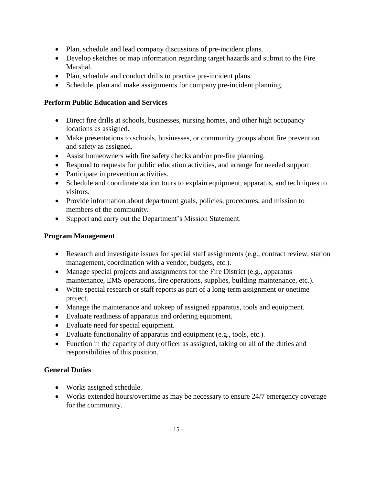- Plan, schedule and lead company discussions of pre-incident plans.
- Develop sketches or map information regarding target hazards and submit to the Fire Marshal.
- Plan, schedule and conduct drills to practice pre-incident plans.
- Schedule, plan and make assignments for company pre-incident planning.

## **Perform Public Education and Services**

- Direct fire drills at schools, businesses, nursing homes, and other high occupancy locations as assigned.
- Make presentations to schools, businesses, or community groups about fire prevention and safety as assigned.
- Assist homeowners with fire safety checks and/or pre-fire planning.
- Respond to requests for public education activities, and arrange for needed support.
- Participate in prevention activities.
- Schedule and coordinate station tours to explain equipment, apparatus, and techniques to visitors.
- Provide information about department goals, policies, procedures, and mission to members of the community.
- Support and carry out the Department's Mission Statement.

## **Program Management**

- Research and investigate issues for special staff assignments (e.g., contract review, station management, coordination with a vendor, budgets, etc.).
- Manage special projects and assignments for the Fire District (e.g., apparatus maintenance, EMS operations, fire operations, supplies, building maintenance, etc.).
- Write special research or staff reports as part of a long-term assignment or onetime project.
- Manage the maintenance and upkeep of assigned apparatus, tools and equipment.
- Evaluate readiness of apparatus and ordering equipment.
- Evaluate need for special equipment.
- Evaluate functionality of apparatus and equipment (e.g., tools, etc.).
- Function in the capacity of duty officer as assigned, taking on all of the duties and responsibilities of this position.

### **General Duties**

- Works assigned schedule.
- Works extended hours/overtime as may be necessary to ensure 24/7 emergency coverage for the community.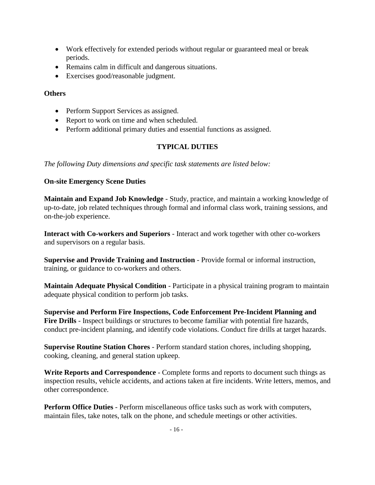- Work effectively for extended periods without regular or guaranteed meal or break periods.
- Remains calm in difficult and dangerous situations.
- Exercises good/reasonable judgment.

#### **Others**

- Perform Support Services as assigned.
- Report to work on time and when scheduled.
- Perform additional primary duties and essential functions as assigned.

## **TYPICAL DUTIES**

*The following Duty dimensions and specific task statements are listed below:*

### **On-site Emergency Scene Duties**

**Maintain and Expand Job Knowledge** - Study, practice, and maintain a working knowledge of up-to-date, job related techniques through formal and informal class work, training sessions, and on-the-job experience.

**Interact with Co-workers and Superiors** - Interact and work together with other co-workers and supervisors on a regular basis.

**Supervise and Provide Training and Instruction** - Provide formal or informal instruction, training, or guidance to co-workers and others.

**Maintain Adequate Physical Condition** - Participate in a physical training program to maintain adequate physical condition to perform job tasks.

**Supervise and Perform Fire Inspections, Code Enforcement Pre-Incident Planning and Fire Drills** - Inspect buildings or structures to become familiar with potential fire hazards, conduct pre-incident planning, and identify code violations. Conduct fire drills at target hazards.

**Supervise Routine Station Chores** - Perform standard station chores, including shopping, cooking, cleaning, and general station upkeep.

**Write Reports and Correspondence** - Complete forms and reports to document such things as inspection results, vehicle accidents, and actions taken at fire incidents. Write letters, memos, and other correspondence.

**Perform Office Duties** - Perform miscellaneous office tasks such as work with computers, maintain files, take notes, talk on the phone, and schedule meetings or other activities.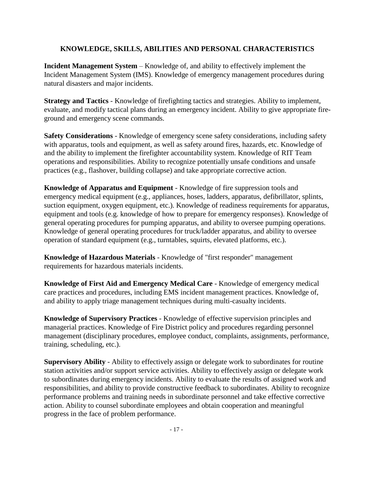### **KNOWLEDGE, SKILLS, ABILITIES AND PERSONAL CHARACTERISTICS**

**Incident Management System** – Knowledge of, and ability to effectively implement the Incident Management System (IMS). Knowledge of emergency management procedures during natural disasters and major incidents.

**Strategy and Tactics** - Knowledge of firefighting tactics and strategies. Ability to implement, evaluate, and modify tactical plans during an emergency incident. Ability to give appropriate fireground and emergency scene commands.

**Safety Considerations** - Knowledge of emergency scene safety considerations, including safety with apparatus, tools and equipment, as well as safety around fires, hazards, etc. Knowledge of and the ability to implement the firefighter accountability system. Knowledge of RIT Team operations and responsibilities. Ability to recognize potentially unsafe conditions and unsafe practices (e.g., flashover, building collapse) and take appropriate corrective action.

**Knowledge of Apparatus and Equipment** - Knowledge of fire suppression tools and emergency medical equipment (e.g., appliances, hoses, ladders, apparatus, defibrillator, splints, suction equipment, oxygen equipment, etc.). Knowledge of readiness requirements for apparatus, equipment and tools (e.g. knowledge of how to prepare for emergency responses). Knowledge of general operating procedures for pumping apparatus, and ability to oversee pumping operations. Knowledge of general operating procedures for truck/ladder apparatus, and ability to oversee operation of standard equipment (e.g., turntables, squirts, elevated platforms, etc.).

**Knowledge of Hazardous Materials** - Knowledge of "first responder" management requirements for hazardous materials incidents.

**Knowledge of First Aid and Emergency Medical Care** - Knowledge of emergency medical care practices and procedures, including EMS incident management practices. Knowledge of, and ability to apply triage management techniques during multi-casualty incidents.

**Knowledge of Supervisory Practices** - Knowledge of effective supervision principles and managerial practices. Knowledge of Fire District policy and procedures regarding personnel management (disciplinary procedures, employee conduct, complaints, assignments, performance, training, scheduling, etc.).

**Supervisory Ability** - Ability to effectively assign or delegate work to subordinates for routine station activities and/or support service activities. Ability to effectively assign or delegate work to subordinates during emergency incidents. Ability to evaluate the results of assigned work and responsibilities, and ability to provide constructive feedback to subordinates. Ability to recognize performance problems and training needs in subordinate personnel and take effective corrective action. Ability to counsel subordinate employees and obtain cooperation and meaningful progress in the face of problem performance.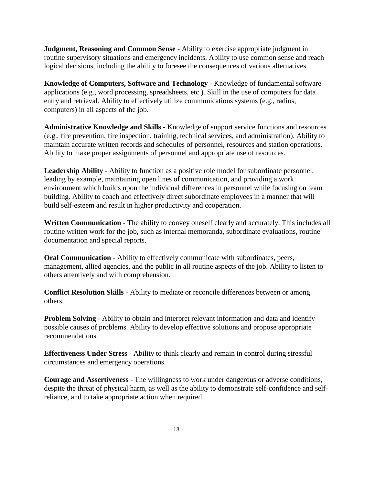**Judgment, Reasoning and Common Sense** - Ability to exercise appropriate judgment in routine supervisory situations and emergency incidents. Ability to use common sense and reach logical decisions, including the ability to foresee the consequences of various alternatives.

**Knowledge of Computers, Software and Technology** - Knowledge of fundamental software applications (e.g., word processing, spreadsheets, etc.). Skill in the use of computers for data entry and retrieval. Ability to effectively utilize communications systems (e.g., radios, computers) in all aspects of the job.

**Administrative Knowledge and Skills** - Knowledge of support service functions and resources (e.g., fire prevention, fire inspection, training, technical services, and administration). Ability to maintain accurate written records and schedules of personnel, resources and station operations. Ability to make proper assignments of personnel and appropriate use of resources.

**Leadership Ability** - Ability to function as a positive role model for subordinate personnel, leading by example, maintaining open lines of communication, and providing a work environment which builds upon the individual differences in personnel while focusing on team building. Ability to coach and effectively direct subordinate employees in a manner that will build self-esteem and result in higher productivity and cooperation.

**Written Communication** - The ability to convey oneself clearly and accurately. This includes all routine written work for the job, such as internal memoranda, subordinate evaluations, routine documentation and special reports.

**Oral Communication** - Ability to effectively communicate with subordinates, peers, management, allied agencies, and the public in all routine aspects of the job. Ability to listen to others attentively and with comprehension.

**Conflict Resolution Skills** - Ability to mediate or reconcile differences between or among others.

**Problem Solving** - Ability to obtain and interpret relevant information and data and identify possible causes of problems. Ability to develop effective solutions and propose appropriate recommendations.

**Effectiveness Under Stress** - Ability to think clearly and remain in control during stressful circumstances and emergency operations.

**Courage and Assertiveness** - The willingness to work under dangerous or adverse conditions, despite the threat of physical harm, as well as the ability to demonstrate self-confidence and selfreliance, and to take appropriate action when required.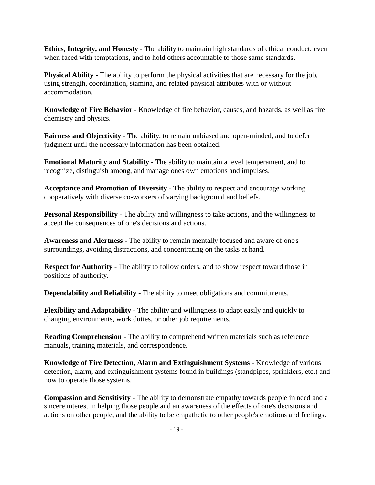**Ethics, Integrity, and Honesty** - The ability to maintain high standards of ethical conduct, even when faced with temptations, and to hold others accountable to those same standards.

**Physical Ability** - The ability to perform the physical activities that are necessary for the job, using strength, coordination, stamina, and related physical attributes with or without accommodation.

**Knowledge of Fire Behavior** - Knowledge of fire behavior, causes, and hazards, as well as fire chemistry and physics.

**Fairness and Objectivity** - The ability, to remain unbiased and open-minded, and to defer judgment until the necessary information has been obtained.

**Emotional Maturity and Stability** - The ability to maintain a level temperament, and to recognize, distinguish among, and manage ones own emotions and impulses.

**Acceptance and Promotion of Diversity** - The ability to respect and encourage working cooperatively with diverse co-workers of varying background and beliefs.

**Personal Responsibility** - The ability and willingness to take actions, and the willingness to accept the consequences of one's decisions and actions.

**Awareness and Alertness** - The ability to remain mentally focused and aware of one's surroundings, avoiding distractions, and concentrating on the tasks at hand.

**Respect for Authority** - The ability to follow orders, and to show respect toward those in positions of authority.

**Dependability and Reliability** - The ability to meet obligations and commitments.

**Flexibility and Adaptability** - The ability and willingness to adapt easily and quickly to changing environments, work duties, or other job requirements.

**Reading Comprehension** - The ability to comprehend written materials such as reference manuals, training materials, and correspondence.

**Knowledge of Fire Detection, Alarm and Extinguishment Systems** - Knowledge of various detection, alarm, and extinguishment systems found in buildings (standpipes, sprinklers, etc.) and how to operate those systems.

**Compassion and Sensitivity** - The ability to demonstrate empathy towards people in need and a sincere interest in helping those people and an awareness of the effects of one's decisions and actions on other people, and the ability to be empathetic to other people's emotions and feelings.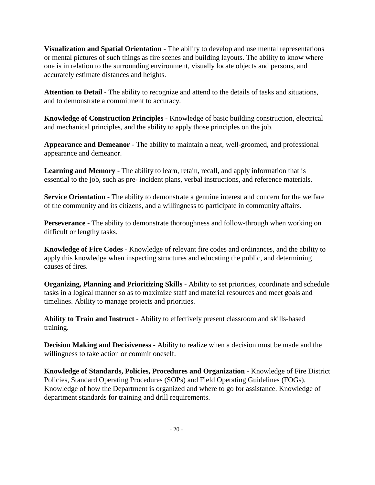**Visualization and Spatial Orientation** - The ability to develop and use mental representations or mental pictures of such things as fire scenes and building layouts. The ability to know where one is in relation to the surrounding environment, visually locate objects and persons, and accurately estimate distances and heights.

**Attention to Detail** - The ability to recognize and attend to the details of tasks and situations, and to demonstrate a commitment to accuracy.

**Knowledge of Construction Principles** - Knowledge of basic building construction, electrical and mechanical principles, and the ability to apply those principles on the job.

**Appearance and Demeanor** - The ability to maintain a neat, well-groomed, and professional appearance and demeanor.

**Learning and Memory** - The ability to learn, retain, recall, and apply information that is essential to the job, such as pre- incident plans, verbal instructions, and reference materials.

**Service Orientation** - The ability to demonstrate a genuine interest and concern for the welfare of the community and its citizens, and a willingness to participate in community affairs.

**Perseverance** - The ability to demonstrate thoroughness and follow-through when working on difficult or lengthy tasks.

**Knowledge of Fire Codes** - Knowledge of relevant fire codes and ordinances, and the ability to apply this knowledge when inspecting structures and educating the public, and determining causes of fires.

**Organizing, Planning and Prioritizing Skills** - Ability to set priorities, coordinate and schedule tasks in a logical manner so as to maximize staff and material resources and meet goals and timelines. Ability to manage projects and priorities.

**Ability to Train and Instruct** - Ability to effectively present classroom and skills-based training.

**Decision Making and Decisiveness** - Ability to realize when a decision must be made and the willingness to take action or commit oneself.

**Knowledge of Standards, Policies, Procedures and Organization** - Knowledge of Fire District Policies, Standard Operating Procedures (SOPs) and Field Operating Guidelines (FOGs). Knowledge of how the Department is organized and where to go for assistance. Knowledge of department standards for training and drill requirements.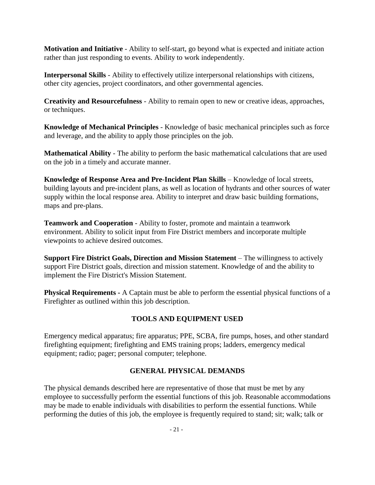**Motivation and Initiative** - Ability to self-start, go beyond what is expected and initiate action rather than just responding to events. Ability to work independently.

**Interpersonal Skills** - Ability to effectively utilize interpersonal relationships with citizens, other city agencies, project coordinators, and other governmental agencies.

**Creativity and Resourcefulness** - Ability to remain open to new or creative ideas, approaches, or techniques.

**Knowledge of Mechanical Principles** - Knowledge of basic mechanical principles such as force and leverage, and the ability to apply those principles on the job.

**Mathematical Ability** - The ability to perform the basic mathematical calculations that are used on the job in a timely and accurate manner.

**Knowledge of Response Area and Pre**-**Incident Plan Skills** – Knowledge of local streets, building layouts and pre-incident plans, as well as location of hydrants and other sources of water supply within the local response area. Ability to interpret and draw basic building formations, maps and pre-plans.

**Teamwork and Cooperation** - Ability to foster, promote and maintain a teamwork environment. Ability to solicit input from Fire District members and incorporate multiple viewpoints to achieve desired outcomes.

**Support Fire District Goals, Direction and Mission Statement** – The willingness to actively support Fire District goals, direction and mission statement. Knowledge of and the ability to implement the Fire District's Mission Statement.

**Physical Requirements -** A Captain must be able to perform the essential physical functions of a Firefighter as outlined within this job description.

## **TOOLS AND EQUIPMENT USED**

Emergency medical apparatus; fire apparatus; PPE, SCBA, fire pumps, hoses, and other standard firefighting equipment; firefighting and EMS training props; ladders, emergency medical equipment; radio; pager; personal computer; telephone.

### **GENERAL PHYSICAL DEMANDS**

The physical demands described here are representative of those that must be met by any employee to successfully perform the essential functions of this job. Reasonable accommodations may be made to enable individuals with disabilities to perform the essential functions. While performing the duties of this job, the employee is frequently required to stand; sit; walk; talk or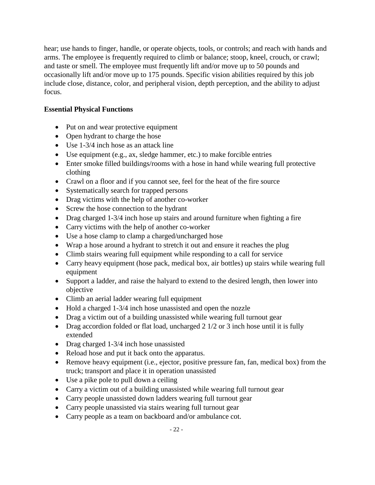hear; use hands to finger, handle, or operate objects, tools, or controls; and reach with hands and arms. The employee is frequently required to climb or balance; stoop, kneel, crouch, or crawl; and taste or smell. The employee must frequently lift and/or move up to 50 pounds and occasionally lift and/or move up to 175 pounds. Specific vision abilities required by this job include close, distance, color, and peripheral vision, depth perception, and the ability to adjust focus.

## **Essential Physical Functions**

- Put on and wear protective equipment
- Open hydrant to charge the hose
- Use 1-3/4 inch hose as an attack line
- Use equipment (e.g., ax, sledge hammer, etc.) to make forcible entries
- Enter smoke filled buildings/rooms with a hose in hand while wearing full protective clothing
- Crawl on a floor and if you cannot see, feel for the heat of the fire source
- Systematically search for trapped persons
- Drag victims with the help of another co-worker
- Screw the hose connection to the hydrant
- Drag charged 1-3/4 inch hose up stairs and around furniture when fighting a fire
- Carry victims with the help of another co-worker
- Use a hose clamp to clamp a charged/uncharged hose
- Wrap a hose around a hydrant to stretch it out and ensure it reaches the plug
- Climb stairs wearing full equipment while responding to a call for service
- Carry heavy equipment (hose pack, medical box, air bottles) up stairs while wearing full equipment
- Support a ladder, and raise the halyard to extend to the desired length, then lower into objective
- Climb an aerial ladder wearing full equipment
- Hold a charged 1-3/4 inch hose unassisted and open the nozzle
- Drag a victim out of a building unassisted while wearing full turnout gear
- Drag accordion folded or flat load, uncharged 2 1/2 or 3 inch hose until it is fully extended
- Drag charged 1-3/4 inch hose unassisted
- Reload hose and put it back onto the apparatus.
- Remove heavy equipment (i.e., ejector, positive pressure fan, fan, medical box) from the truck; transport and place it in operation unassisted
- Use a pike pole to pull down a ceiling
- Carry a victim out of a building unassisted while wearing full turnout gear
- Carry people unassisted down ladders wearing full turnout gear
- Carry people unassisted via stairs wearing full turnout gear
- Carry people as a team on backboard and/or ambulance cot.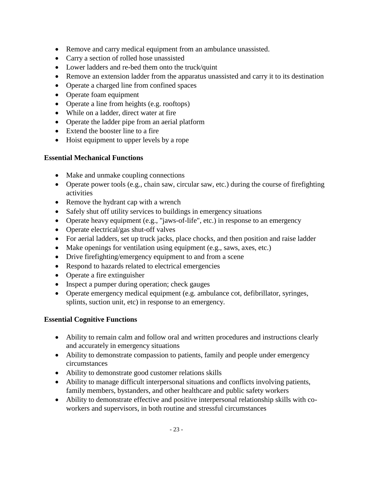- Remove and carry medical equipment from an ambulance unassisted.
- Carry a section of rolled hose unassisted
- Lower ladders and re-bed them onto the truck/quint
- Remove an extension ladder from the apparatus unassisted and carry it to its destination
- Operate a charged line from confined spaces
- Operate foam equipment
- Operate a line from heights (e.g. rooftops)
- While on a ladder, direct water at fire
- Operate the ladder pipe from an aerial platform
- Extend the booster line to a fire
- Hoist equipment to upper levels by a rope

### **Essential Mechanical Functions**

- Make and unmake coupling connections
- Operate power tools (e.g., chain saw, circular saw, etc.) during the course of firefighting activities
- Remove the hydrant cap with a wrench
- Safely shut off utility services to buildings in emergency situations
- Operate heavy equipment (e.g., "jaws-of-life", etc.) in response to an emergency
- Operate electrical/gas shut-off valves
- For aerial ladders, set up truck jacks, place chocks, and then position and raise ladder
- Make openings for ventilation using equipment (e.g., saws, axes, etc.)
- Drive firefighting/emergency equipment to and from a scene
- Respond to hazards related to electrical emergencies
- Operate a fire extinguisher
- Inspect a pumper during operation; check gauges
- Operate emergency medical equipment (e.g. ambulance cot, defibrillator, syringes, splints, suction unit, etc) in response to an emergency.

### **Essential Cognitive Functions**

- Ability to remain calm and follow oral and written procedures and instructions clearly and accurately in emergency situations
- Ability to demonstrate compassion to patients, family and people under emergency circumstances
- Ability to demonstrate good customer relations skills
- Ability to manage difficult interpersonal situations and conflicts involving patients, family members, bystanders, and other healthcare and public safety workers
- Ability to demonstrate effective and positive interpersonal relationship skills with coworkers and supervisors, in both routine and stressful circumstances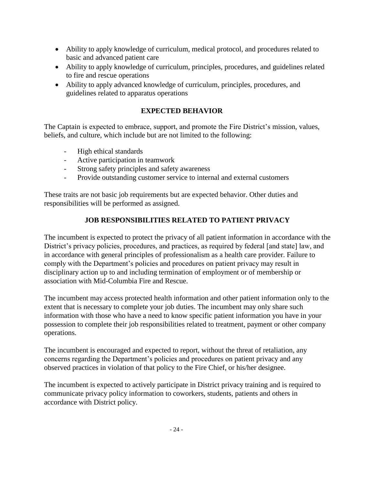- Ability to apply knowledge of curriculum, medical protocol, and procedures related to basic and advanced patient care
- Ability to apply knowledge of curriculum, principles, procedures, and guidelines related to fire and rescue operations
- Ability to apply advanced knowledge of curriculum, principles, procedures, and guidelines related to apparatus operations

## **EXPECTED BEHAVIOR**

The Captain is expected to embrace, support, and promote the Fire District's mission, values, beliefs, and culture, which include but are not limited to the following:

- High ethical standards
- Active participation in teamwork
- Strong safety principles and safety awareness
- Provide outstanding customer service to internal and external customers

These traits are not basic job requirements but are expected behavior. Other duties and responsibilities will be performed as assigned.

## **JOB RESPONSIBILITIES RELATED TO PATIENT PRIVACY**

The incumbent is expected to protect the privacy of all patient information in accordance with the District's privacy policies, procedures, and practices, as required by federal [and state] law, and in accordance with general principles of professionalism as a health care provider. Failure to comply with the Department's policies and procedures on patient privacy may result in disciplinary action up to and including termination of employment or of membership or association with Mid-Columbia Fire and Rescue.

The incumbent may access protected health information and other patient information only to the extent that is necessary to complete your job duties. The incumbent may only share such information with those who have a need to know specific patient information you have in your possession to complete their job responsibilities related to treatment, payment or other company operations.

The incumbent is encouraged and expected to report, without the threat of retaliation, any concerns regarding the Department's policies and procedures on patient privacy and any observed practices in violation of that policy to the Fire Chief, or his/her designee.

The incumbent is expected to actively participate in District privacy training and is required to communicate privacy policy information to coworkers, students, patients and others in accordance with District policy.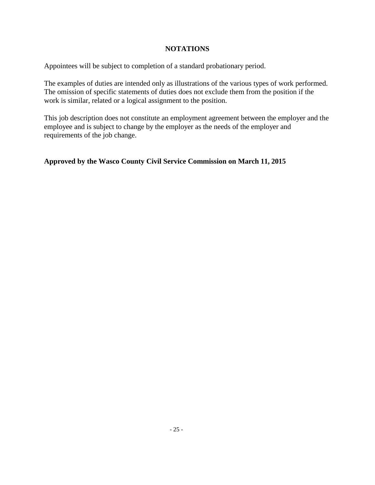#### **NOTATIONS**

Appointees will be subject to completion of a standard probationary period.

The examples of duties are intended only as illustrations of the various types of work performed. The omission of specific statements of duties does not exclude them from the position if the work is similar, related or a logical assignment to the position.

This job description does not constitute an employment agreement between the employer and the employee and is subject to change by the employer as the needs of the employer and requirements of the job change.

## **Approved by the Wasco County Civil Service Commission on March 11, 2015**